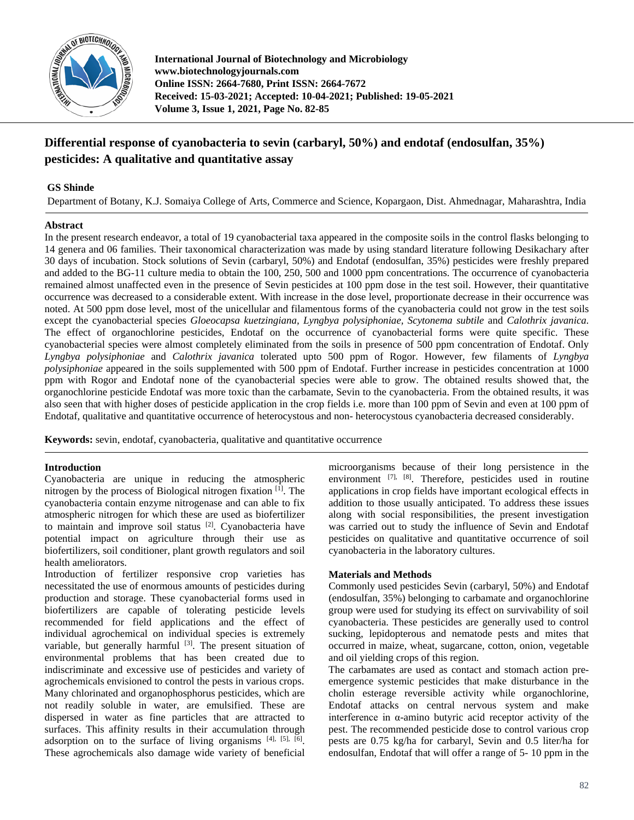

**International Journal of Biotechnology and Microbiology www.biotechnologyjournals.com Online ISSN: 2664-7680, Print ISSN: 2664-7672 Received: 15-03-2021; Accepted: 10-04-2021; Published: 19-05-2021 Volume 3, Issue 1, 2021, Page No. 82-85**

# **Differential response of cyanobacteria to sevin (carbaryl, 50%) and endotaf (endosulfan, 35%) pesticides: A qualitative and quantitative assay**

# **GS Shinde**

Department of Botany, K.J. Somaiya College of Arts, Commerce and Science, Kopargaon, Dist. Ahmednagar, Maharashtra, India

## **Abstract**

In the present research endeavor, a total of 19 cyanobacterial taxa appeared in the composite soils in the control flasks belonging to 14 genera and 06 families. Their taxonomical characterization was made by using standard literature following Desikachary after 30 days of incubation. Stock solutions of Sevin (carbaryl, 50%) and Endotaf (endosulfan, 35%) pesticides were freshly prepared and added to the BG-11 culture media to obtain the 100, 250, 500 and 1000 ppm concentrations. The occurrence of cyanobacteria remained almost unaffected even in the presence of Sevin pesticides at 100 ppm dose in the test soil. However, their quantitative occurrence was decreased to a considerable extent. With increase in the dose level, proportionate decrease in their occurrence was noted. At 500 ppm dose level, most of the unicellular and filamentous forms of the cyanobacteria could not grow in the test soils except the cyanobacterial species *Gloeocapsa kuetzingiana, Lyngbya polysiphoniae, Scytonema subtile* and *Calothrix javanica*. The effect of organochlorine pesticides, Endotaf on the occurrence of cyanobacterial forms were quite specific. These cyanobacterial species were almost completely eliminated from the soils in presence of 500 ppm concentration of Endotaf. Only *Lyngbya polysiphoniae* and *Calothrix javanica* tolerated upto 500 ppm of Rogor. However, few filaments of *Lyngbya polysiphoniae* appeared in the soils supplemented with 500 ppm of Endotaf. Further increase in pesticides concentration at 1000 ppm with Rogor and Endotaf none of the cyanobacterial species were able to grow. The obtained results showed that, the organochlorine pesticide Endotaf was more toxic than the carbamate, Sevin to the cyanobacteria. From the obtained results, it was also seen that with higher doses of pesticide application in the crop fields i.e. more than 100 ppm of Sevin and even at 100 ppm of Endotaf, qualitative and quantitative occurrence of heterocystous and non- heterocystous cyanobacteria decreased considerably.

**Keywords:** sevin, endotaf, cyanobacteria, qualitative and quantitative occurrence

## **Introduction**

Cyanobacteria are unique in reducing the atmospheric nitrogen by the process of Biological nitrogen fixation  $[1]$ . The cyanobacteria contain enzyme nitrogenase and can able to fix atmospheric nitrogen for which these are used as biofertilizer to maintain and improve soil status [2]. Cyanobacteria have potential impact on agriculture through their use as biofertilizers, soil conditioner, plant growth regulators and soil health ameliorators.

Introduction of fertilizer responsive crop varieties has necessitated the use of enormous amounts of pesticides during production and storage. These cyanobacterial forms used in biofertilizers are capable of tolerating pesticide levels recommended for field applications and the effect of individual agrochemical on individual species is extremely variable, but generally harmful [3]. The present situation of environmental problems that has been created due to indiscriminate and excessive use of pesticides and variety of agrochemicals envisioned to control the pests in various crops. Many chlorinated and organophosphorus pesticides, which are not readily soluble in water, are emulsified. These are dispersed in water as fine particles that are attracted to surfaces. This affinity results in their accumulation through adsorption on to the surface of living organisms  $[4]$ ,  $[5]$ ,  $[6]$ . These agrochemicals also damage wide variety of beneficial

microorganisms because of their long persistence in the environment [7], [8]. Therefore, pesticides used in routine applications in crop fields have important ecological effects in addition to those usually anticipated. To address these issues along with social responsibilities, the present investigation was carried out to study the influence of Sevin and Endotaf pesticides on qualitative and quantitative occurrence of soil cyanobacteria in the laboratory cultures.

## **Materials and Methods**

Commonly used pesticides Sevin (carbaryl, 50%) and Endotaf (endosulfan, 35%) belonging to carbamate and organochlorine group were used for studying its effect on survivability of soil cyanobacteria. These pesticides are generally used to control sucking, lepidopterous and nematode pests and mites that occurred in maize, wheat, sugarcane, cotton, onion, vegetable and oil yielding crops of this region.

The carbamates are used as contact and stomach action preemergence systemic pesticides that make disturbance in the cholin esterage reversible activity while organochlorine, Endotaf attacks on central nervous system and make interference in  $\alpha$ -amino butyric acid receptor activity of the pest. The recommended pesticide dose to control various crop pests are 0.75 kg/ha for carbaryl, Sevin and 0.5 liter/ha for endosulfan, Endotaf that will offer a range of 5- 10 ppm in the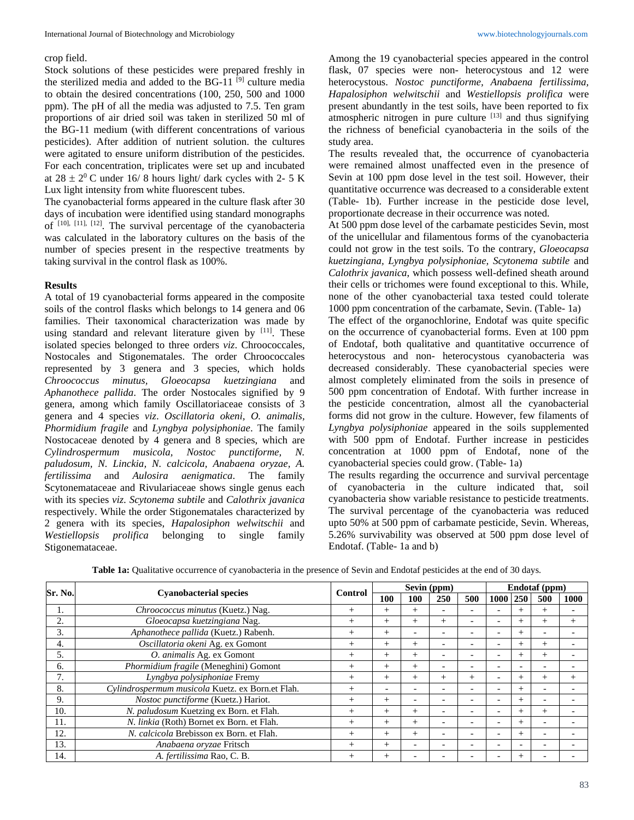#### crop field.

Stock solutions of these pesticides were prepared freshly in the sterilized media and added to the BG-11 $[9]$  culture media to obtain the desired concentrations (100, 250, 500 and 1000 ppm). The pH of all the media was adjusted to 7.5. Ten gram proportions of air dried soil was taken in sterilized 50 ml of the BG-11 medium (with different concentrations of various pesticides). After addition of nutrient solution. the cultures were agitated to ensure uniform distribution of the pesticides. For each concentration, triplicates were set up and incubated at  $28 \pm 2^{0}$  C under 16/8 hours light/ dark cycles with 2- 5 K Lux light intensity from white fluorescent tubes.

The cyanobacterial forms appeared in the culture flask after 30 days of incubation were identified using standard monographs of [10], [11], [12]. The survival percentage of the cyanobacteria was calculated in the laboratory cultures on the basis of the number of species present in the respective treatments by taking survival in the control flask as 100%.

#### **Results**

A total of 19 cyanobacterial forms appeared in the composite soils of the control flasks which belongs to 14 genera and 06 families. Their taxonomical characterization was made by using standard and relevant literature given by  $[11]$ . These isolated species belonged to three orders *viz*. Chroococcales, Nostocales and Stigonematales. The order Chroococcales represented by 3 genera and 3 species, which holds *Chroococcus minutus, Gloeocapsa kuetzingiana* and *Aphanothece pallida*. The order Nostocales signified by 9 genera, among which family Oscillatoriaceae consists of 3 genera and 4 species *viz*. *Oscillatoria okeni, O. animalis, Phormidium fragile* and *Lyngbya polysiphoniae*. The family Nostocaceae denoted by 4 genera and 8 species, which are *Cylindrospermum musicola, Nostoc punctiforme, N. paludosum, N. Linckia, N. calcicola, Anabaena oryzae, A. fertilissima* and *Aulosira aenigmatica*. The family Scytonemataceae and Rivulariaceae shows single genus each with its species *viz*. *Scytonema subtile* and *Calothrix javanica*  respectively. While the order Stigonematales characterized by 2 genera with its species, *Hapalosiphon welwitschii* and *Westiellopsis prolifica* belonging to single family Stigonemataceae.

Among the 19 cyanobacterial species appeared in the control flask, 07 species were non- heterocystous and 12 were heterocystous. *Nostoc punctiforme, Anabaena fertilissima, Hapalosiphon welwitschii* and *Westiellopsis prolifica* were present abundantly in the test soils, have been reported to fix atmospheric nitrogen in pure culture [13] and thus signifying the richness of beneficial cyanobacteria in the soils of the study area.

The results revealed that, the occurrence of cyanobacteria were remained almost unaffected even in the presence of Sevin at 100 ppm dose level in the test soil. However, their quantitative occurrence was decreased to a considerable extent (Table- 1b). Further increase in the pesticide dose level, proportionate decrease in their occurrence was noted.

At 500 ppm dose level of the carbamate pesticides Sevin, most of the unicellular and filamentous forms of the cyanobacteria could not grow in the test soils. To the contrary, *Gloeocapsa kuetzingiana, Lyngbya polysiphoniae, Scytonema subtile* and *Calothrix javanica*, which possess well-defined sheath around their cells or trichomes were found exceptional to this. While, none of the other cyanobacterial taxa tested could tolerate 1000 ppm concentration of the carbamate, Sevin. (Table- 1a)

The effect of the organochlorine, Endotaf was quite specific on the occurrence of cyanobacterial forms. Even at 100 ppm of Endotaf, both qualitative and quantitative occurrence of heterocystous and non- heterocystous cyanobacteria was decreased considerably. These cyanobacterial species were almost completely eliminated from the soils in presence of 500 ppm concentration of Endotaf. With further increase in the pesticide concentration, almost all the cyanobacterial forms did not grow in the culture. However, few filaments of *Lyngbya polysiphoniae* appeared in the soils supplemented with 500 ppm of Endotaf. Further increase in pesticides concentration at 1000 ppm of Endotaf, none of the cyanobacterial species could grow. (Table- 1a)

The results regarding the occurrence and survival percentage of cyanobacteria in the culture indicated that, soil cyanobacteria show variable resistance to pesticide treatments. The survival percentage of the cyanobacteria was reduced upto 50% at 500 ppm of carbamate pesticide, Sevin. Whereas, 5.26% survivability was observed at 500 ppm dose level of Endotaf. (Table- 1a and b)

| Sr. No. | <b>Cyanobacterial species</b>                    | Control | Sevin (ppm)              |        |                          |        | Endotaf (ppm)            |        |        |      |
|---------|--------------------------------------------------|---------|--------------------------|--------|--------------------------|--------|--------------------------|--------|--------|------|
|         |                                                  |         | 100                      | 100    | 250                      | 500    | 1000                     | 1250   | 500    | 1000 |
| ı.      | Chroococcus minutus (Kuetz.) Nag.                |         | $^{+}$                   | $^{+}$ |                          |        |                          |        |        |      |
| 2.      | Gloeocapsa kuetzingiana Nag.                     |         | $^{+}$                   |        | $^{+}$                   |        |                          | $^{+}$ |        |      |
| 3.      | Aphanothece pallida (Kuetz.) Rabenh.             | $^{+}$  | $^{+}$                   |        | $\overline{\phantom{0}}$ |        | $\overline{\phantom{0}}$ | $^{+}$ |        |      |
| 4.      | Oscillatoria okeni Ag. ex Gomont                 | $^{+}$  | $^{+}$                   |        |                          |        |                          | $^{+}$ |        |      |
| 5.      | O. animalis Ag. ex Gomont                        | $^{+}$  | $^{+}$                   | $^{+}$ |                          |        | $\overline{\phantom{0}}$ | $^{+}$ | $^{+}$ |      |
| б.      | Phormidium fragile (Meneghini) Gomont            | $^{+}$  | $^{+}$                   | $^{+}$ |                          |        |                          |        |        |      |
|         | Lyngbya polysiphoniae Fremy                      | $^{+}$  | $^{+}$                   | $^{+}$ | $^{+}$                   | $^{+}$ | $\overline{\phantom{0}}$ | $^{+}$ |        |      |
| 8.      | Cylindrospermum musicola Kuetz. ex Born.et Flah. | $^{+}$  | $\overline{\phantom{a}}$ |        |                          |        | $\overline{\phantom{0}}$ | $^{+}$ |        |      |
| 9.      | Nostoc punctiforme (Kuetz.) Hariot.              | $^{+}$  | $^{+}$                   |        |                          |        |                          | $^{+}$ |        |      |
| 10.     | N. paludosum Kuetzing ex Born. et Flah.          | $^{+}$  | $^{+}$                   |        |                          |        | $\overline{\phantom{0}}$ | $^{+}$ |        |      |
| 11.     | N. linkia (Roth) Bornet ex Born. et Flah.        | $^{+}$  | $^{+}$                   | $^{+}$ |                          |        | $\overline{\phantom{0}}$ | $^{+}$ |        |      |
| 12.     | N. calcicola Brebisson ex Born. et Flah.         | $^{+}$  | $^{+}$                   | $^{+}$ |                          |        | $\overline{\phantom{0}}$ | $+$    |        |      |
| 13.     | Anabaena oryzae Fritsch                          | $^{+}$  | $^{+}$                   |        |                          |        |                          |        |        |      |
| 14.     | A. fertilissima Rao, C. B.                       | $^{+}$  | $^{+}$                   |        |                          |        |                          | $^{+}$ |        |      |

**Table 1a:** Qualitative occurrence of cyanobacteria in the presence of Sevin and Endotaf pesticides at the end of 30 days.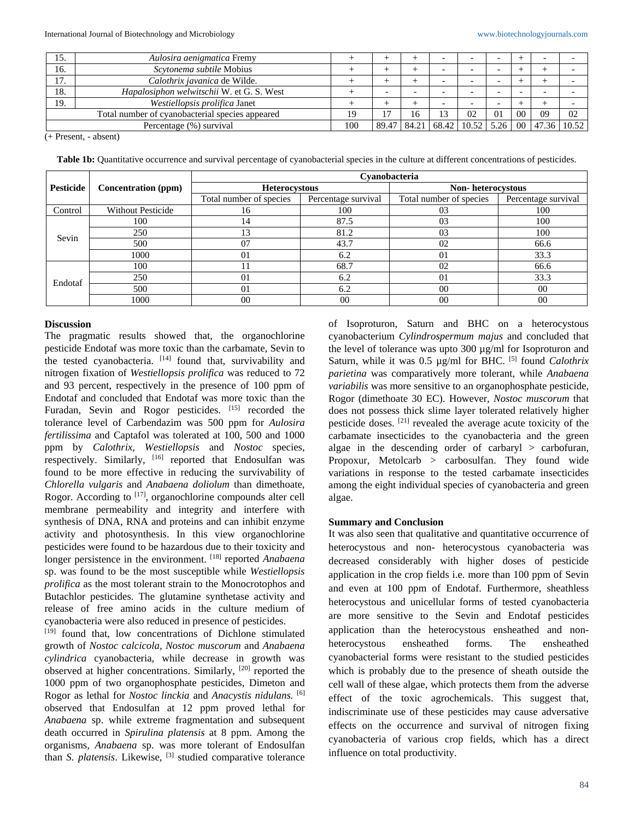| 15.                                             | Aulosira aenigmatica Fremy                |  |       |       |       |            |                          |                          |    |             |
|-------------------------------------------------|-------------------------------------------|--|-------|-------|-------|------------|--------------------------|--------------------------|----|-------------|
| 16.                                             | Scytonema subtile Mobius                  |  |       |       |       |            |                          |                          |    |             |
| 17.                                             | Calothrix javanica de Wilde.              |  |       |       |       |            |                          |                          |    |             |
| 18.                                             | Hapalosiphon welwitschii W. et G. S. West |  |       |       |       |            | $\overline{\phantom{0}}$ | $\overline{\phantom{0}}$ |    |             |
| 19.                                             | Westiellopsis prolifica Janet             |  |       |       |       |            |                          |                          |    |             |
| Total number of cyanobacterial species appeared |                                           |  |       | 16    |       | 02         | 01                       | 0 <sup>0</sup>           | 09 | 02          |
| Percentage (%) survival                         |                                           |  | 89.47 | 84.21 | 68.42 | $10.521$ . | 5.26                     | 00 <sup>1</sup>          |    | 47.36 10.52 |

(+ Present, - absent)

Table 1b: Quantitative occurrence and survival percentage of cyanobacterial species in the culture at different concentrations of pesticides.

|                  |                            | Cvanobacteria           |                     |                         |                     |  |  |  |  |
|------------------|----------------------------|-------------------------|---------------------|-------------------------|---------------------|--|--|--|--|
| <b>Pesticide</b> | <b>Concentration (ppm)</b> | <b>Heterocystous</b>    |                     | Non-heterocystous       |                     |  |  |  |  |
|                  |                            | Total number of species | Percentage survival | Total number of species | Percentage survival |  |  |  |  |
| Control          | <b>Without Pesticide</b>   | 16                      | 100                 | 03                      | 100                 |  |  |  |  |
|                  | 100                        | 14                      | 87.5                | 03                      | 100                 |  |  |  |  |
| Sevin            | 250                        | 13                      | 81.2                | 0 <sub>3</sub>          | 100                 |  |  |  |  |
|                  | 500                        | 07                      | 43.7                | 02                      | 66.6                |  |  |  |  |
|                  | 1000                       | 0 <sub>1</sub>          | 6.2                 | $\Omega$                | 33.3                |  |  |  |  |
|                  | 100                        |                         | 68.7                | 02                      | 66.6                |  |  |  |  |
| Endotaf          | 250                        | $\Omega$                | 6.2                 | $\Omega$                | 33.3                |  |  |  |  |
|                  | 500                        | 0 <sub>1</sub>          | 6.2                 | 0 <sup>0</sup>          | 00                  |  |  |  |  |
|                  | 1000                       | $00\,$                  | 00                  | 0 <sup>0</sup>          | 00                  |  |  |  |  |

## **Discussion**

The pragmatic results showed that, the organochlorine pesticide Endotaf was more toxic than the carbamate, Sevin to the tested cyanobacteria.  $[14]$  found that, survivability and nitrogen fixation of *Westiellopsis prolifica* was reduced to 72 and 93 percent, respectively in the presence of 100 ppm of Endotaf and concluded that Endotaf was more toxic than the Furadan, Sevin and Rogor pesticides. [15] recorded the tolerance level of Carbendazim was 500 ppm for *Aulosira fertilissima* and Captafol was tolerated at 100, 500 and 1000 ppm by *Calothrix, Westiellopsis* and *Nostoc* species, respectively. Similarly, <sup>[16]</sup> reported that Endosulfan was found to be more effective in reducing the survivability of *Chlorella vulgaris* and *Anabaena doliolum* than dimethoate, Rogor. According to <sup>[17]</sup>, organochlorine compounds alter cell membrane permeability and integrity and interfere with synthesis of DNA, RNA and proteins and can inhibit enzyme activity and photosynthesis. In this view organochlorine pesticides were found to be hazardous due to their toxicity and longer persistence in the environment. <sup>[18]</sup> reported *Anabaena* sp. was found to be the most susceptible while *Westiellopsis prolifica* as the most tolerant strain to the Monocrotophos and Butachlor pesticides. The glutamine synthetase activity and release of free amino acids in the culture medium of cyanobacteria were also reduced in presence of pesticides.

[19] found that, low concentrations of Dichlone stimulated growth of *Nostoc calcicola, Nostoc muscorum* and *Anabaena cylindrica* cyanobacteria, while decrease in growth was observed at higher concentrations. Similarly, [20] reported the 1000 ppm of two organophosphate pesticides, Dimeton and Rogor as lethal for *Nostoc linckia* and *Anacystis nidulans.* [6] observed that Endosulfan at 12 ppm proved lethal for *Anabaena* sp. while extreme fragmentation and subsequent death occurred in *Spirulina platensis* at 8 ppm. Among the organisms, *Anabaena* sp. was more tolerant of Endosulfan than *S. platensis*. Likewise, [3] studied comparative tolerance of Isoproturon, Saturn and BHC on a heterocystous cyanobacterium *Cylindrospermum majus* and concluded that the level of tolerance was upto 300 µg/ml for Isoproturon and Saturn, while it was 0.5 µg/ml for BHC. <sup>[5]</sup> found *Calothrix parietina* was comparatively more tolerant, while *Anabaena variabilis* was more sensitive to an organophosphate pesticide, Rogor (dimethoate 30 EC). However, *Nostoc muscorum* that does not possess thick slime layer tolerated relatively higher pesticide doses. [21] revealed the average acute toxicity of the carbamate insecticides to the cyanobacteria and the green algae in the descending order of carbaryl > carbofuran, Propoxur, Metolcarb > carbosulfan. They found wide variations in response to the tested carbamate insecticides among the eight individual species of cyanobacteria and green algae.

#### **Summary and Conclusion**

It was also seen that qualitative and quantitative occurrence of heterocystous and non- heterocystous cyanobacteria was decreased considerably with higher doses of pesticide application in the crop fields i.e. more than 100 ppm of Sevin and even at 100 ppm of Endotaf. Furthermore, sheathless heterocystous and unicellular forms of tested cyanobacteria are more sensitive to the Sevin and Endotaf pesticides application than the heterocystous ensheathed and nonheterocystous ensheathed forms. The ensheathed cyanobacterial forms were resistant to the studied pesticides which is probably due to the presence of sheath outside the cell wall of these algae, which protects them from the adverse effect of the toxic agrochemicals. This suggest that, indiscriminate use of these pesticides may cause adversative effects on the occurrence and survival of nitrogen fixing cyanobacteria of various crop fields, which has a direct influence on total productivity.